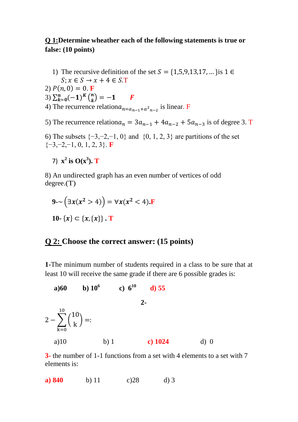# **Q 1:Determine wheather each of the following statements is true or false: (10 points)**

1) The recursive definition of the set  $S = \{1,5,9,13,17, \dots\}$  is  $1 \in$  $S: x \in S \rightarrow x + 4 \in S.T$ 

2)  $P(n, 0) = 0$ . **F** 

- 3)  $\sum_{k=0}^{n}(-1)^{k}$  $\binom{n}{k=0}(-1)^{K}\binom{n}{k}$  $\binom{n}{k} = -1$  F
- 4) The recurrence relation $a_{n=a_{n-1}+a^2n-2}$  is linear. F

5) The recurrence relation  $a_n = 3a_{n-1} + 4a_{n-2} + 5a_{n-3}$  is of degree 3. T

6) The subsets  $\{-3,-2,-1,0\}$  and  $\{0, 1, 2, 3\}$  are partitions of the set {−3,−2,−1, 0, 1, 2, 3}. **F**

7)  $x^2$  is  $O(x^3)$ . **T** 

8) An undirected graph has an even number of vertices of odd degree.(T)

$$
9-\left(\exists x(x^2 > 4)\right) = \forall x(x^2 < 4).F
$$
  
10- {x}  $\subset \{x, \{x\}\}\.$  T

# **Q 2: Choose the correct answer: (15 points)**

**1-**The minimum number of students required in a class to be sure that at least 10 will receive the same grade if there are 6 possible grades is:

a)60 b) 10<sup>6</sup> c) 6<sup>10</sup> d) 55  
2-  

$$
2 - \sum_{k=0}^{10} {10 \choose k} =:
$$
  
a)10 b) 1 c) 1024 d) 0

**3-** the number of 1-1 functions from a set with 4 elements to a set with 7 elements is:

**a) 840** b) 11 c)28 d) 3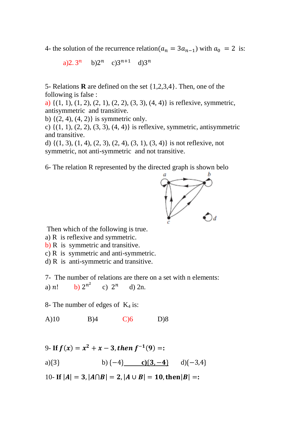4- the solution of the recurrence relation( $a_n = 3a_{n-1}$ ) with  $a_0 = 2$  is:

a)2.3<sup>n</sup> b)2<sup>n</sup> c)3<sup>n+1</sup> d)3<sup>n</sup>

5- Relations **R** are defined on the set {1,2,3,4}. Then, one of the following is false :

a)  $\{(1, 1), (1, 2), (2, 1), (2, 2), (3, 3), (4, 4)\}\$ is reflexive, symmetric, antisymmetric and transitive.

b)  $\{(2, 4), (4, 2)\}\$ is symmetric only.

c) {(1, 1), (2, 2), (3, 3), (4, 4)} is reflexive, symmetric, antisymmetric and transitive.

d)  $\{(1, 3), (1, 4), (2, 3), (2, 4), (3, 1), (3, 4)\}\$ is not reflexive, not symmetric, not anti-symmetric and not transitive.

6- The relation R represented by the directed graph is shown belo



Then which of the following is true.

a) R is reflexive and symmetric.

- b) R is symmetric and transitive.
- c) R is symmetric and anti-symmetric.
- d) R is anti-symmetric and transitive.

7- The number of relations are there on a set with n elements:  $n^2$ 

a)  $n!$ c)  $2^n$  d)  $2n$ .

8- The number of edges of  $K_4$  is:

A)10 B)4 C)6 D)8

9- If 
$$
f(x) = x^2 + x - 3
$$
, then  $f^{-1}(9) =:$   
a){3} b {-4} c{3, -4} d){-3,4}

10- **If**  $|A| = 3$ ,  $|A \cap B| = 2$ ,  $|A \cup B| = 10$ , then  $|B| =$ :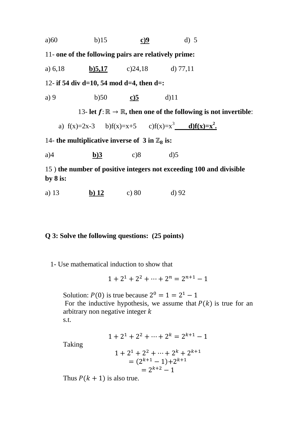| a)60 | b)15 | <u>c)9</u> | $d)$ 5 |
|------|------|------------|--------|
|      |      |            |        |

11- **one of the following pairs are relatively prime:**

a) 6,18 **b)5,17** c)24,18 d) 77,11

12- **if 54 div d=10, 54 mod d=4, then d=:**

a) 9 b)50 **c)5** d)11

13- **let** : ℝ → ℝ**, then one of the following is not invertible**:

a)  $f(x)=2x-3$  b) $f(x)=x+5$  c) $f(x)=x^3$  d) $f(x)=x^2$ .

14- **the multiplicative inverse of 3 in**  $\mathbb{Z}_8$  **is:** 

a)4 **b)3** c)8 d)5

15 ) **the number of positive integers not exceeding 100 and divisible by 8 is:**

a) 13 **b) 12** c) 80 d) 92

### **Q 3: Solve the following questions: (25 points)**

1- Use mathematical induction to show that

$$
1 + 21 + 22 + \dots + 2n = 2n+1 - 1
$$

Solution:  $P(0)$  is true because  $2^0 = 1 = 2^1 - 1$ For the inductive hypothesis, we assume that  $P(k)$  is true for an arbitrary non negative integer  $k$ s.t.

$$
1 + 2^1 + 2^2 + \dots + 2^k = 2^{k+1} - 1
$$

Taking

$$
1 + 21 + 22 + \dots + 2k + 2k+1
$$
  
=  $(2k+1 - 1) + 2k+1$   
=  $2k+2 - 1$ 

Thus  $P(k + 1)$  is also true.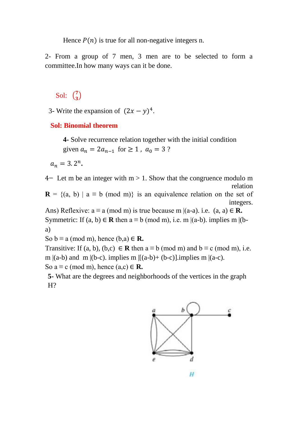Hence  $P(n)$  is true for all non-negative integers n.

2- From a group of 7 men, 3 men are to be selected to form a committee.In how many ways can it be done.

#### Sol:  $\binom{7}{3}$  $\binom{7}{3}$

3- Write the expansion of  $(2x - y)^4$ .

## **Sol: Binomial theorem**

**4-** Solve recurrence relation together with the initial condition given  $a_n = 2a_{n-1}$  for  $\ge 1$ ,  $a_0 = 3$ ?

 $a_n = 3 \cdot 2^n$ .

4**−** Let m be an integer with m > 1. Show that the congruence modulo m relation

**R** = {(a, b) | a = b (mod m)} is an equivalence relation on the set of integers.

Ans) Reflexive:  $a \equiv a \pmod{m}$  is true because m  $|(a-a)$ . i.e.  $(a, a) \in \mathbb{R}$ . Symmetric: If  $(a, b) \in \mathbb{R}$  then  $a \equiv b \pmod{m}$ , i.e. m  $|(a-b)$ . implies m  $|(b-b)$ . a)

So  $b \equiv a \pmod{m}$ , hence  $(b,a) \in \mathbb{R}$ .

Transitive: If (a, b), (b,c)  $\in \mathbb{R}$  then  $a \equiv b \pmod{m}$  and  $b \equiv c \pmod{m}$ , i.e. m  $|(a-b)$  and m  $|(b-c)$ . implies m  $|(a-b)+(b-c)|$ . implies m  $|(a-c)$ . So  $a \equiv c \pmod{m}$ , hence  $(a,c) \in \mathbb{R}$ .

**5-** What are the degrees and neighborhoods of the vertices in the graph H?